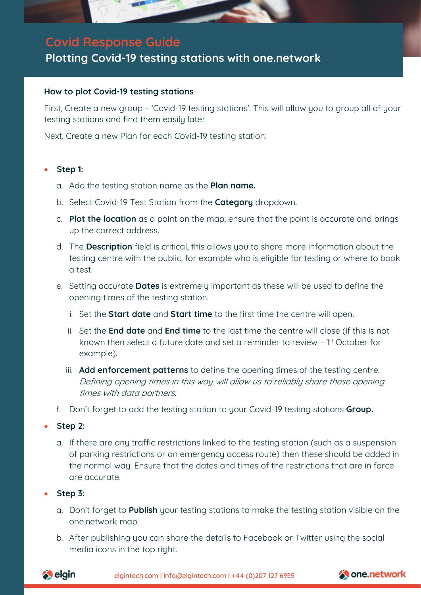

# **Covid Response Guide**

## **Plotting Covid-19 testing stations with one.network**

#### **How to plot Covid-19 testing stations**

First, Create a new group – 'Covid-19 testing stations'. This will allow you to group all of your testing stations and find them easily later.

Next, Create a new Plan for each Covid-19 testing station:

#### • **Step 1:**

- a. Add the testing station name as the **Plan name.**
- b. Select Covid-19 Test Station from the **Category** dropdown.
- c. **Plot the location** as a point on the map, ensure that the point is accurate and brings up the correct address.
- d. The **Description** field is critical, this allows you to share more information about the testing centre with the public, for example who is eligible for testing or where to book a test.
- e. Setting accurate **Dates** is extremely important as these will be used to define the opening times of the testing station.
	- i. Set the **Start date** and **Start time** to the first time the centre will open.
	- ii. Set the **End date** and **End time** to the last time the centre will close (if this is not known then select a future date and set a reminder to review - 1<sup>st</sup> October for example).
	- iii. **Add enforcement patterns** to define the opening times of the testing centre. Defining opening times in this way will allow us to reliably share these opening times with data partners.
- f. Don't forget to add the testing station to your Covid-19 testing stations **Group.**

#### • **Step 2:**

a. If there are any traffic restrictions linked to the testing station (such as a suspension of parking restrictions or an emergency access route) then these should be added in the normal way. Ensure that the dates and times of the restrictions that are in force are accurate.

#### • **Step 3:**

- a. Don't forget to **Publish** your testing stations to make the testing station visible on the one.network map.
- b. After publishing you can share the details to Facebook or Twitter using the social media icons in the top right.



elgintech.com | [info@elgintech.com](mailto:info@elgintech.com) | +44 (0)207 127 6955